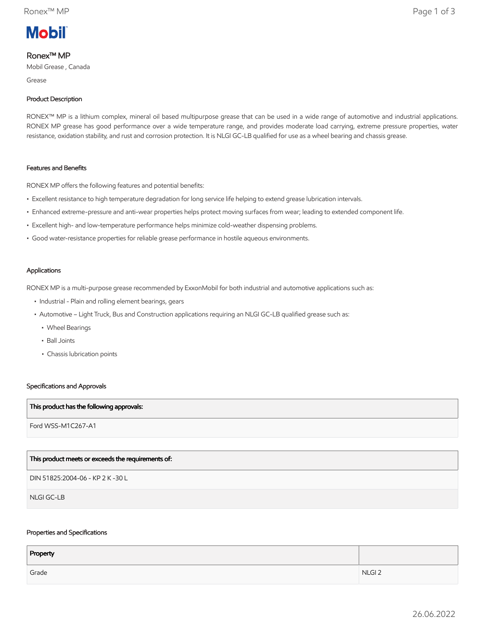

# Ronex™ MP

Mobil Grease , Canada

Grease

### Product Description

RONEX™ MP is a lithium complex, mineral oil based multipurpose grease that can be used in a wide range of automotive and industrial applications. RONEX MP grease has good performance over a wide temperature range, and provides moderate load carrying, extreme pressure properties, water resistance, oxidation stability, and rust and corrosion protection. It is NLGI GC-LB qualified for use as a wheel bearing and chassis grease.

### Features and Benefits

RONEX MP offers the following features and potential benefits:

- Excellent resistance to high temperature degradation for long service life helping to extend grease lubrication intervals.
- Enhanced extreme-pressure and anti-wear properties helps protect moving surfaces from wear; leading to extended component life.
- Excellent high- and low-temperature performance helps minimize cold-weather dispensing problems.
- Good water-resistance properties for reliable grease performance in hostile aqueous environments.

### Applications

RONEX MP is a multi-purpose grease recommended by ExxonMobil for both industrial and automotive applications such as:

- Industrial Plain and rolling element bearings, gears
- • Automotive Light Truck, Bus and Construction applications requiring an NLGI GC-LB qualified grease such as:
	- Wheel Bearings
	- Ball Joints
	- Chassis lubrication points

### Specifications and Approvals

### This product has the following approvals:

Ford WSS-M1C267-A1

## This product meets or exceeds the requirements of:

DIN 51825:2004-06 - KP 2 K -30 L

NLGI GC-LB

### Properties and Specifications

| Property |                   |
|----------|-------------------|
| Grade    | NLGI <sub>2</sub> |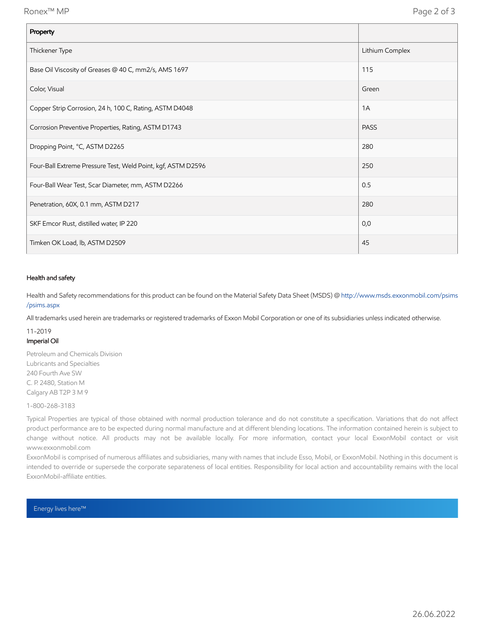| Property                                                     |                 |
|--------------------------------------------------------------|-----------------|
| Thickener Type                                               | Lithium Complex |
| Base Oil Viscosity of Greases @ 40 C, mm2/s, AMS 1697        | 115             |
| Color, Visual                                                | Green           |
| Copper Strip Corrosion, 24 h, 100 C, Rating, ASTM D4048      | 1A              |
| Corrosion Preventive Properties, Rating, ASTM D1743          | <b>PASS</b>     |
| Dropping Point, °C, ASTM D2265                               | 280             |
| Four-Ball Extreme Pressure Test, Weld Point, kgf, ASTM D2596 | 250             |
| Four-Ball Wear Test, Scar Diameter, mm, ASTM D2266           | 0.5             |
| Penetration, 60X, 0.1 mm, ASTM D217                          | 280             |
| SKF Emcor Rust, distilled water, IP 220                      | 0,0             |
| Timken OK Load, lb, ASTM D2509                               | 45              |

### Health and safety

Health and Safety recommendations for this product can be found on the Material Safety Data Sheet (MSDS) @ [http://www.msds.exxonmobil.com/psims](http://www.msds.exxonmobil.com/psims/psims.aspx) /psims.aspx

All trademarks used herein are trademarks or registered trademarks of Exxon Mobil Corporation or one of its subsidiaries unless indicated otherwise.

# 11-2019 Imperial Oil

Petroleum and Chemicals Division Lubricants and Specialties 240 Fourth Ave SW C. P. 2480, Station M Calgary AB T2P 3 M 9

### 1-800-268-3183

Typical Properties are typical of those obtained with normal production tolerance and do not constitute a specification. Variations that do not affect product performance are to be expected during normal manufacture and at different blending locations. The information contained herein is subject to change without notice. All products may not be available locally. For more information, contact your local ExxonMobil contact or visit www.exxonmobil.com

ExxonMobil is comprised of numerous affiliates and subsidiaries, many with names that include Esso, Mobil, or ExxonMobil. Nothing in this document is intended to override or supersede the corporate separateness of local entities. Responsibility for local action and accountability remains with the local ExxonMobil-affiliate entities.

Energy lives here™